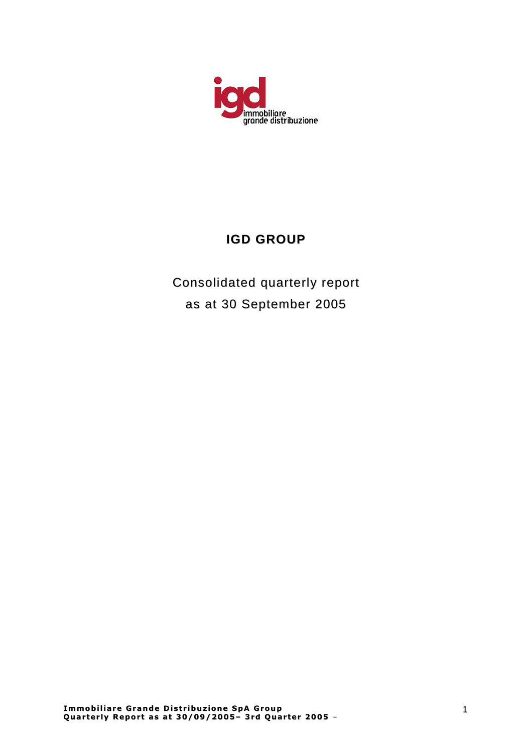

# **IGD GROUP**

Consolidated quarterly report as at 30 September 2005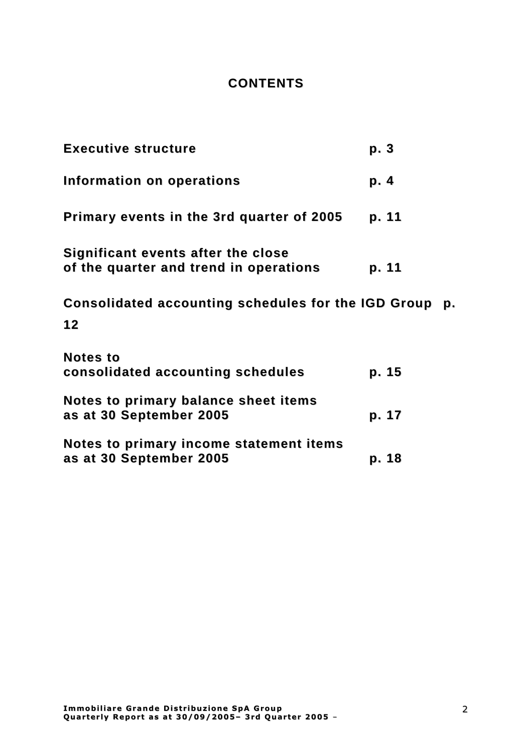## **CONTENTS**

| <b>Executive structure</b>                                                   | p. 3  |
|------------------------------------------------------------------------------|-------|
| Information on operations                                                    | p. 4  |
| Primary events in the 3rd quarter of 2005                                    | p. 11 |
| Significant events after the close<br>of the quarter and trend in operations | p. 11 |
| Consolidated accounting schedules for the IGD Group<br>12                    | p.    |
| <b>Notes to</b><br>consolidated accounting schedules                         | p. 15 |
| Notes to primary balance sheet items<br>as at 30 September 2005              | p. 17 |
| Notes to primary income statement items<br>as at 30 September 2005           | p. 18 |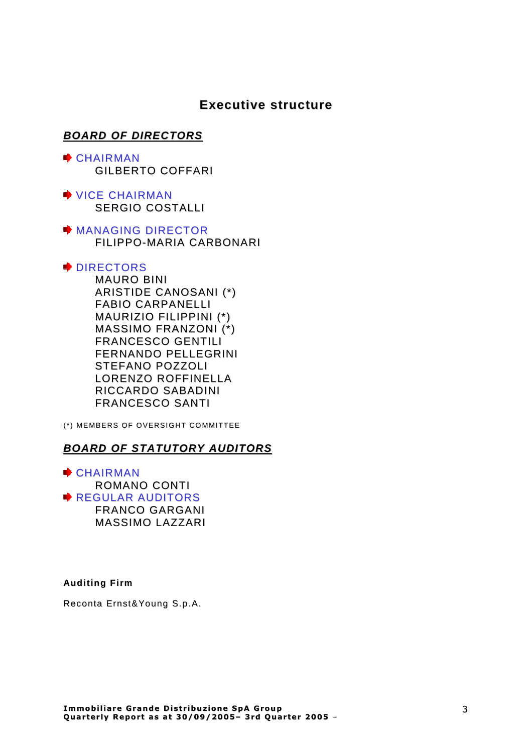## **Executive structure**

## **BOARD OF DIRECTORS**

- **E** CHAIRMAN GILBERTO COFFARI
- VICE CHAIRMAN SERGIO COSTALLI
- **MANAGING DIRECTOR** FILIPPO-MARIA CARBONARI

## **▶ DIRECTORS**

MAURO BINI ARISTIDE CANOSANI (\*) FABIO CARPANELLI MAURIZIO FILIPPINI (\*) MASSIMO FRANZONI (\*) FRANCESCO GENTILI FERNANDO PELLEGRINI STEFANO POZZOLI LORENZO ROFFINELLA RICCARDO SABADINI FRANCESCO SANTI

(\*) MEMBERS OF OVERSIGHT COMMITTEE

## **BOARD OF STATUTORY AUDITORS**

CHAIRMAN ROMANO CONTI REGULAR AUDITORS FRANCO GARGANI MASSIMO LAZZARI

## **Auditing Firm**

Reconta Ernst&Young S.p.A.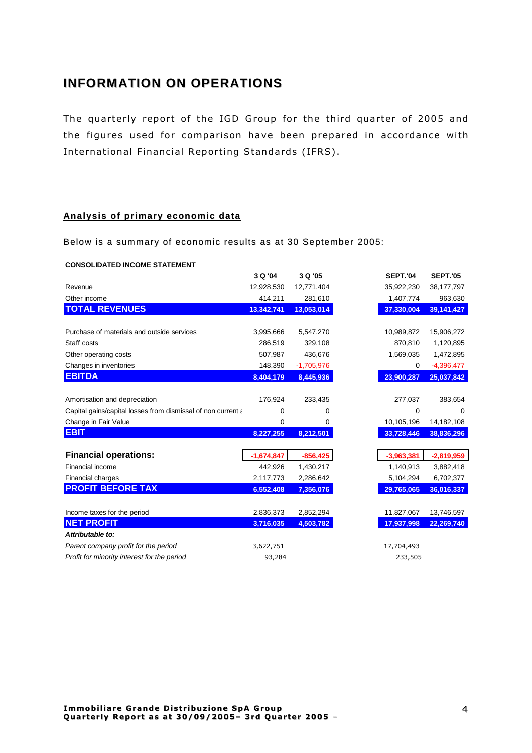## **INFORMATION ON OPERATIONS**

The quarterly report of the IGD Group for the third quarter of 2005 and the figures used for comparison have been prepared in accordance with International Financial Reporting Standards (IFRS).

## **Anal ysis of primar y economi c data**

Below is a summary of economic results as at 30 September 2005:

#### **CONSOLIDATED INCOME STATEMENT**

|                                                              | 3 Q '04      | 3 Q '05      | <b>SEPT.'04</b> | <b>SEPT.'05</b> |
|--------------------------------------------------------------|--------------|--------------|-----------------|-----------------|
| Revenue                                                      | 12,928,530   | 12,771,404   | 35,922,230      | 38,177,797      |
| Other income                                                 | 414,211      | 281,610      | 1,407,774       | 963,630         |
| <b>TOTAL REVENUES</b>                                        | 13,342,741   | 13,053,014   | 37,330,004      | 39,141,427      |
|                                                              |              |              |                 |                 |
| Purchase of materials and outside services                   | 3,995,666    | 5,547,270    | 10,989,872      | 15,906,272      |
| Staff costs                                                  | 286,519      | 329,108      | 870,810         | 1,120,895       |
| Other operating costs                                        | 507,987      | 436,676      | 1,569,035       | 1,472,895       |
| Changes in inventories                                       | 148,390      | $-1,705,976$ | 0               | $-4,396,477$    |
| <b>EBITDA</b>                                                | 8,404,179    | 8,445,936    | 23,900,287      | 25,037,842      |
|                                                              |              |              |                 |                 |
| Amortisation and depreciation                                | 176,924      | 233,435      | 277,037         | 383,654         |
| Capital gains/capital losses from dismissal of non current a | 0            | 0            | 0               | 0               |
| Change in Fair Value                                         | 0            | 0            | 10,105,196      | 14,182,108      |
| <b>EBIT</b>                                                  | 8,227,255    | 8,212,501    | 33,728,446      | 38,836,296      |
|                                                              |              |              |                 |                 |
| <b>Financial operations:</b>                                 | $-1,674,847$ | $-856,425$   | $-3,963,381$    | $-2,819,959$    |
| Financial income                                             | 442,926      | 1,430,217    | 1,140,913       | 3,882,418       |
| Financial charges                                            | 2,117,773    | 2,286,642    | 5,104,294       | 6,702,377       |
| <b>PROFIT BEFORE TAX</b>                                     | 6,552,408    | 7,356,076    | 29,765,065      | 36,016,337      |
|                                                              |              |              |                 |                 |
| Income taxes for the period                                  | 2,836,373    | 2,852,294    | 11,827,067      | 13,746,597      |
| <b>NET PROFIT</b>                                            | 3,716,035    | 4,503,782    | 17,937,998      | 22,269,740      |
| Attributable to:                                             |              |              |                 |                 |
| Parent company profit for the period                         | 3,622,751    |              | 17,704,493      |                 |
| Profit for minority interest for the period                  | 93,284       |              | 233,505         |                 |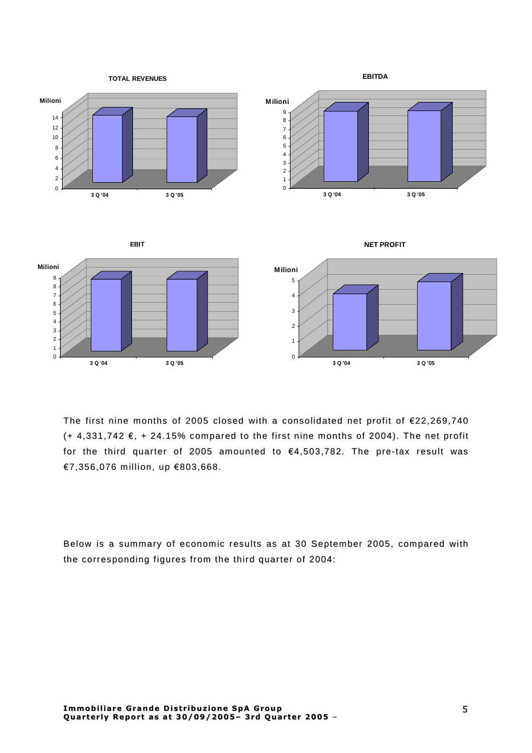

The first nine months of 2005 closed with a consolidated net profit of  $E$ 22,269,740  $(+ 4.331.742 \epsilon, + 24.15\%$  compared to the first nine months of 2004). The net profit for the third quarter of 2005 amounted to  $€4,503,782$ . The pre-tax result was  $€7, 356, 076$  million, up  $€803, 668$ .

Below is a summary of economic results as at 30 September 2005, compared with the corresponding figures from the third quarter of 2004: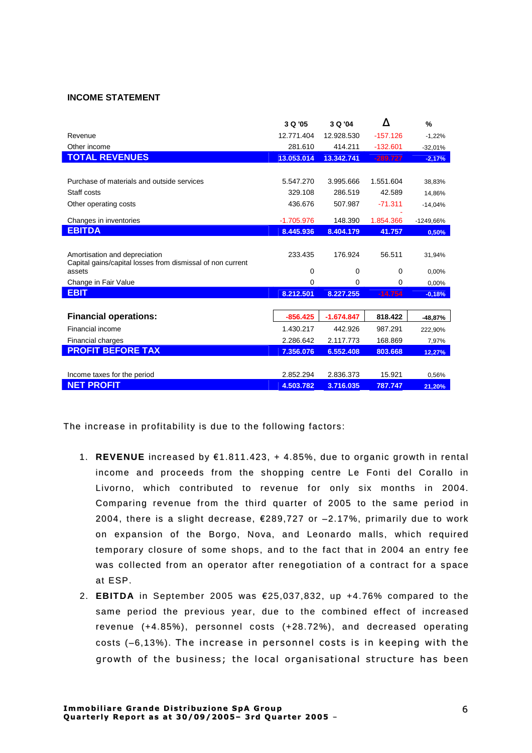### **INCOME STATEMENT**

|                                                                                             | 3 Q '05      | 3 Q '04      | Δ          | %         |
|---------------------------------------------------------------------------------------------|--------------|--------------|------------|-----------|
| Revenue                                                                                     | 12.771.404   | 12.928.530   | $-157.126$ | $-1,22%$  |
| Other income                                                                                | 281.610      | 414.211      | $-132.601$ | $-32,01%$ |
| <b>TOTAL REVENUES</b>                                                                       | 13.053.014   | 13.342.741   | $-289.727$ | $-2,17%$  |
|                                                                                             |              |              |            |           |
| Purchase of materials and outside services                                                  | 5.547.270    | 3.995.666    | 1.551.604  | 38,83%    |
| Staff costs                                                                                 | 329.108      | 286.519      | 42.589     | 14,86%    |
| Other operating costs                                                                       | 436.676      | 507.987      | $-71.311$  | $-14,04%$ |
| Changes in inventories                                                                      | $-1.705.976$ | 148.390      | 1.854.366  | -1249,66% |
| <b>EBITDA</b>                                                                               | 8.445.936    | 8.404.179    | 41.757     | 0,50%     |
|                                                                                             |              |              |            |           |
| Amortisation and depreciation<br>Capital gains/capital losses from dismissal of non current | 233.435      | 176.924      | 56.511     | 31,94%    |
| assets                                                                                      | 0            | 0            | 0          | 0,00%     |
| Change in Fair Value                                                                        | $\Omega$     | $\Omega$     | $\Omega$   | 0,00%     |
| <b>EBIT</b>                                                                                 | 8.212.501    | 8.227.255    | $-14.754$  | $-0,18%$  |
|                                                                                             |              |              |            |           |
| <b>Financial operations:</b>                                                                | $-856.425$   | $-1.674.847$ | 818.422    | -48,87%   |
| Financial income                                                                            | 1.430.217    | 442.926      | 987.291    | 222,90%   |
| Financial charges                                                                           | 2.286.642    | 2.117.773    | 168.869    | 7,97%     |
| <b>PROFIT BEFORE TAX</b>                                                                    | 7.356.076    | 6.552.408    | 803.668    | 12,27%    |
|                                                                                             |              |              |            |           |
| Income taxes for the period                                                                 | 2.852.294    | 2.836.373    | 15.921     | 0,56%     |
| <b>NET PROFIT</b>                                                                           | 4.503.782    | 3.716.035    | 787.747    | 21,20%    |

The increase in profitability is due to the following factors:

- 1. REVENUE increased by €1.811.423, + 4.85%, due to organic growth in rental income and proceeds from the shopping centre Le Fonti del Corallo in Livorno, which contributed to revenue for only six months in 2004. Comparing revenue from the third quarter of 2005 to the same period in 2004, there is a slight decrease, €289,727 or -2.17%, primarily due to work on expansion of the Borgo, Nova, and Leonardo malls, which required temporary closure of some shops, and to the fact that in 2004 an entry fee was collected from an operator after renegotiation of a contract for a space at ESP.
- 2. EBITDA in September 2005 was  $\epsilon$ 25.037.832, up +4.76% compared to the same period the previous year, due to the combined effect of increased revenue (+4.85%), personnel costs (+28.72%), and decreased operating costs (-6.13%). The increase in personnel costs is in keeping with the growth of the business; the local organisational structure has been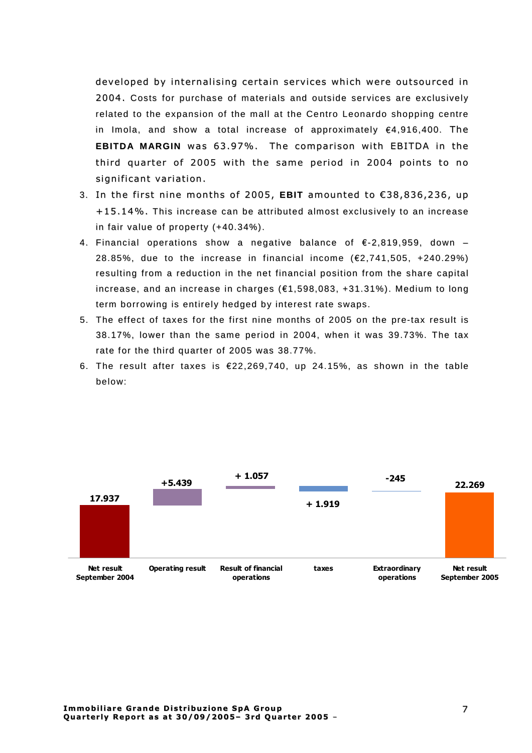developed by internalising certain services which were outsourced in 2004. Costs for purchase of materials and outside services are exclusively related to the expansion of the mall at the Centro Leonardo shopping centre in Imola, and show a total increase of approximately  $\epsilon$ 4,916,400. The **EBITDA MARGIN** was 63.97%. The comparison with EBITDA in the third quarter of 2005 with the same period in 2004 points to no significant variation.

- 3. In the first nine months of 2005, **EBIT** amounted to €38,836,236, up  $+15.14\%$ . This increase can be attributed almost exclusively to an increase in fair value of property  $(+40.34\%)$ .
- 4. Financial operations show a negative balance of  $\epsilon$ -2,819,959, down 28.85%, due to the increase in financial income  $(E2, 741, 505, +240.29%)$ resulting from a reduction in the net financial position from the share capital increase, and an increase in charges  $(E1, 598, 083, +31.31\%)$ . Medium to long term borrowing is entirely hedged by interest rate swaps.
- 5. The effect of taxes for the first nine months of 2005 on the pre-tax result is 38.17%, lower than the same period in 2004, when it was 39.73%. The tax rate for the third quarter of 2005 was 38.77%.
- 6. The result after taxes is  $\epsilon$ 22,269,740, up 24.15%, as shown in the table below:

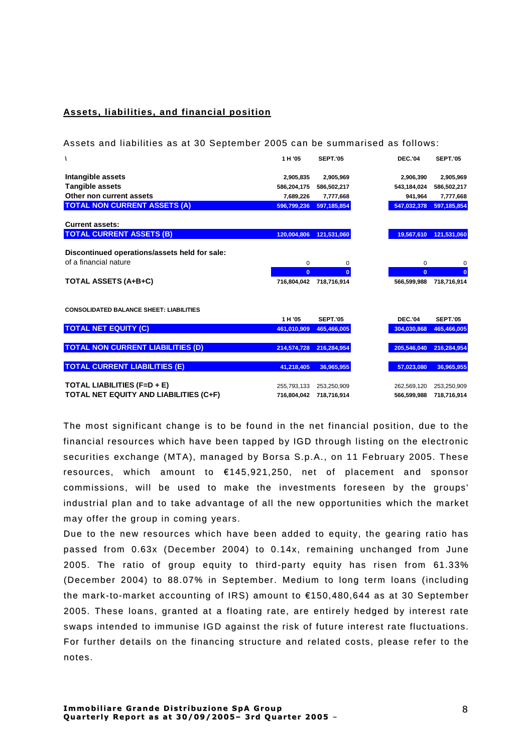## **Assets, li abiliti es, and financial position**

Assets and liabilities as at 30 September 2005 can be summarised as follows:

| Λ                                              | 1H'05          | <b>SEPT.'05</b> | <b>DEC.'04</b> | <b>SEPT.'05</b> |
|------------------------------------------------|----------------|-----------------|----------------|-----------------|
|                                                |                |                 |                |                 |
| Intangible assets                              | 2,905,835      | 2,905,969       | 2,906,390      | 2,905,969       |
| <b>Tangible assets</b>                         | 586,204,175    | 586,502,217     | 543,184,024    | 586,502,217     |
| Other non current assets                       | 7,689,226      | 7,777,668       | 941,964        | 7,777,668       |
| <b>TOTAL NON CURRENT ASSETS (A)</b>            | 596,799,236    | 597, 185, 854   | 547,032,378    | 597,185,854     |
| <b>Current assets:</b>                         |                |                 |                |                 |
| <b>TOTAL CURRENT ASSETS (B)</b>                | 120.004.806    | 121,531,060     | 19,567,610     | 121,531,060     |
| Discontinued operations/assets held for sale:  |                |                 |                |                 |
| of a financial nature                          | 0              | 0               | $\mathbf 0$    | 0               |
|                                                |                |                 |                |                 |
|                                                | $\overline{0}$ | $\mathbf{0}$    | $\mathbf{0}$   | $\bf{0}$        |
| <b>TOTAL ASSETS (A+B+C)</b>                    | 716.804.042    | 718.716.914     | 566.599.988    | 718.716.914     |
|                                                |                |                 |                |                 |
| <b>CONSOLIDATED BALANCE SHEET: LIABILITIES</b> |                |                 |                |                 |
|                                                | 1H'05          | <b>SEPT.'05</b> | <b>DEC.'04</b> | <b>SEPT.'05</b> |
| <b>TOTAL NET EQUITY (C)</b>                    | 461,010,909    | 465,466,005     | 304,030,868    | 465,466,005     |
|                                                |                |                 |                |                 |
| <b>TOTAL NON CURRENT LIABILITIES (D)</b>       | 214,574,728    | 216,284,954     | 205.546.040    | 216,284,954     |
|                                                |                |                 |                |                 |
| <b>TOTAL CURRENT LIABILITIES (E)</b>           | 41,218,405     | 36,965,955      | 57,023,080     | 36,965,955      |
|                                                |                |                 |                |                 |
| TOTAL LIABILITIES (F=D + E)                    | 255,793,133    | 253,250,909     | 262,569,120    | 253,250,909     |
| TOTAL NET EQUITY AND LIABILITIES (C+F)         | 716,804,042    | 718,716,914     | 566,599,988    | 718,716,914     |
|                                                |                |                 |                |                 |

The most significant change is to be found in the net financial position, due to the financial resources which have been tapped by IGD through listing on the electronic securities exchange (MTA), managed by Borsa S.p.A., on 11 February 2005. These resources, which amount to  $£145,921,250$ , net of placement and sponsor commissions, will be used to make the investments foreseen by the groups' industrial plan and to take advantage of all the new opportunities which the market may offer the group in coming years.

Due to the new resources which have been added to equity, the gearing ratio has passed from  $0.63x$  (December 2004) to  $0.14x$ , remaining unchanged from June 2005. The ratio of group equity to third-party equity has risen from  $61.33\%$ (December 2004) to 88.07% in September. Medium to long term loans (including the mark-to-market accounting of IRS) amount to  $£150,480,644$  as at 30 September 2005. These loans, granted at a floating rate, are entirely hedged by interest rate swaps intended to immunise IGD against the risk of future interest rate fluctuations. For further details on the financing structure and related costs, please refer to the notes.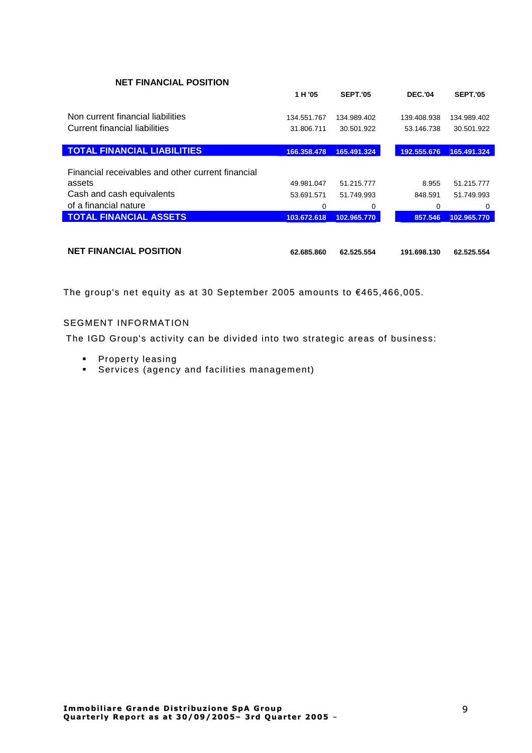| <b>NET FINANCIAL POSITION</b>                     |             |                 |                |                 |
|---------------------------------------------------|-------------|-----------------|----------------|-----------------|
|                                                   | 1 H '05     | <b>SEPT.'05</b> | <b>DEC.'04</b> | <b>SEPT.'05</b> |
| Non current financial liabilities                 | 134.551.767 | 134.989.402     | 139.408.938    | 134.989.402     |
| Current financial liabilities                     | 31.806.711  | 30.501.922      | 53.146.738     | 30.501.922      |
| <b>TOTAL FINANCIAL LIABILITIES</b>                | 166.358.478 | 165.491.324     | 192.555.676    | 165.491.324     |
| Financial receivables and other current financial |             |                 |                |                 |
| assets                                            | 49.981.047  | 51.215.777      | 8.955          | 51.215.777      |
| Cash and cash equivalents                         | 53.691.571  | 51.749.993      | 848.591        | 51.749.993      |
| of a financial nature                             | 0           | 0               | 0              | 0               |
| <b>TOTAL FINANCIAL ASSETS</b>                     | 103.672.618 | 102.965.770     | 857.546        | 102.965.770     |
|                                                   |             |                 |                |                 |
|                                                   |             |                 |                |                 |

| <b>NET FINANCIAL POSITION</b> | 62.685.860 62.525.554 | 191.698.130 62.525.554 |  |
|-------------------------------|-----------------------|------------------------|--|
|                               |                       |                        |  |

The group's net equity as at 30 September 2005 amounts to €465,466,005.

## **SEGMENT INFORMATION**

The IGD Group's activity can be divided into two strategic areas of business:

- Property leasing
- Services (agency and facilities management)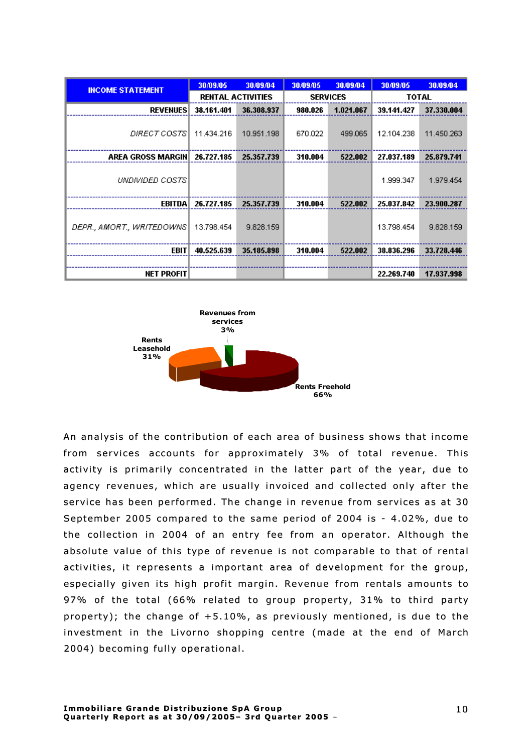| <b>INCOME STATEMENT</b>   | 30/09/05   | 30/09/04                 | 30/09/05        | 30/09/04  | 30/09/05   | 30/09/04   |
|---------------------------|------------|--------------------------|-----------------|-----------|------------|------------|
|                           |            | <b>RENTAL ACTIVITIES</b> | <b>SERVICES</b> |           |            | TOTAL      |
| <b>REVENUES</b>           | 38.161.401 | 36.308.937               | 980.026         | 1.021.067 | 39.141.427 | 37.330.004 |
| DIRECT COSTS              | 11.434.216 | 10.951.198               | 670.022         | 499.065   | 12.104.238 | 11.450.263 |
| AREA GROSS MARGIN         | 26.727.185 | 25.357.739               | 310.004         | 522.002   | 27.037.189 | 25.879.741 |
| UNDIVIDED COSTS           |            |                          |                 |           | 1.999.347  | 1.979.454  |
| EBITDA                    | 26.727.185 | 25.357.739               | 310.004         | 522.002   | 25.037.842 | 23.900.287 |
| DEPR., AMORT., WRITEDOWNS | 13.798.454 | 9.828.159                |                 |           | 13.798.454 | 9.828.159  |
| <b>EBIT</b>               | 40.525.639 | 35.185.898               | 310.004         | 522.002   | 38.836.296 | 33.728.446 |
|                           |            |                          |                 |           |            |            |
| <b>NET PROFIT</b>         |            |                          |                 |           | 22.269.740 | 17.937.998 |



An analysis of the contribution of each area of business shows that income from services accounts for approximately 3% of total revenue. This activity is primarily concentrated in the latter part of the year, due to agency revenues, which are usually invoiced and collected only after the service has been performed. The change in revenue from services as at 30 September 2005 compared to the same period of 2004 is - 4.02%, due to the collection in 2004 of an entry fee from an operator. Although the absolute value of this type of revenue is not comparable to that of rental activities, it represents a important area of development for the group, especially given its high profit margin. Revenue from rentals amounts to 97% of the total (66% related to group property, 31% to third party property); the change of  $+5.10\%$ , as previously mentioned, is due to the investment in the Livorno shopping centre (made at the end of March 2004) becoming fully operational.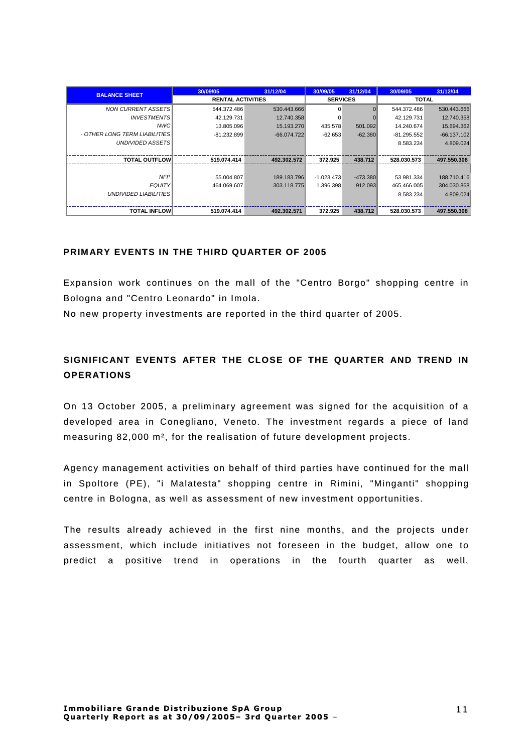| <b>BALANCE SHEET</b>          | 30/09/05                 | 31/12/04      | 30/09/05        | 31/12/04   | 30/09/05      | 31/12/04      |
|-------------------------------|--------------------------|---------------|-----------------|------------|---------------|---------------|
|                               | <b>RENTAL ACTIVITIES</b> |               | <b>SERVICES</b> |            | <b>TOTAL</b>  |               |
| <b>NON CURRENT ASSETS</b>     | 544.372.486              | 530.443.666   | $\Omega$        |            | 544.372.486   | 530.443.666   |
| <b>INVESTMENTS</b>            | 42.129.731               | 12.740.358    | $\Omega$        |            | 42.129.731    | 12.740.358    |
| NWC                           | 13.805.096               | 15.193.270    | 435.578         | 501.092    | 14.240.674    | 15.694.362    |
| - OTHER LONG TERM LIABILITIES | $-81.232.899$            | $-66.074.722$ | $-62.653$       | $-62.380$  | $-81.295.552$ | $-66.137.102$ |
| <b>UNDIVIDED ASSETS</b>       |                          |               |                 |            | 8.583.234     | 4.809.024     |
|                               |                          |               |                 |            |               |               |
| <b>TOTAL OUTFLOW</b>          | 519.074.414              | 492.302.572   | 372.925         | 438.712    | 528.030.573   | 497.550.308   |
|                               |                          |               |                 |            |               |               |
| <b>NFP</b>                    | 55.004.807               | 189.183.796   | $-1.023.473$    | $-473.380$ | 53.981.334    | 188.710.416   |
| <b>EQUITY</b>                 | 464.069.607              | 303.118.775   | 1.396.398       | 912.093    | 465.466.005   | 304.030.868   |
| UNDIVIDED LIABILITIES         |                          |               |                 |            | 8.583.234     | 4.809.024     |
|                               |                          |               |                 |            |               |               |
| <b>TOTAL INFLOW</b>           | 519.074.414              | 492.302.571   | 372.925         | 438.712    | 528.030.573   | 497.550.308   |

## PRIMARY FVENTS IN THE THIRD QUARTER OF 2005

Expansion work continues on the mall of the "Centro Borgo" shopping centre in Bologna and "Centro Leonardo" in Imola.

No new property investments are reported in the third quarter of 2005.

## SIGNIFICANT EVENTS AFTER THE CLOSE OF THE QUARTER AND TREND IN **OPERATIONS**

On 13 October 2005, a preliminary agreement was signed for the acquisition of a developed area in Conegliano, Veneto. The investment regards a piece of land measuring 82,000 m<sup>2</sup>, for the realisation of future development projects.

Agency management activities on behalf of third parties have continued for the mall in Spoltore (PE), "i Malatesta" shopping centre in Rimini, "Minganti" shopping centre in Bologna, as well as assessment of new investment opportunities.

The results already achieved in the first nine months, and the projects under assessment, which include initiatives not foreseen in the budget, allow one to predict a positive trend in operations in the fourth quarter as well.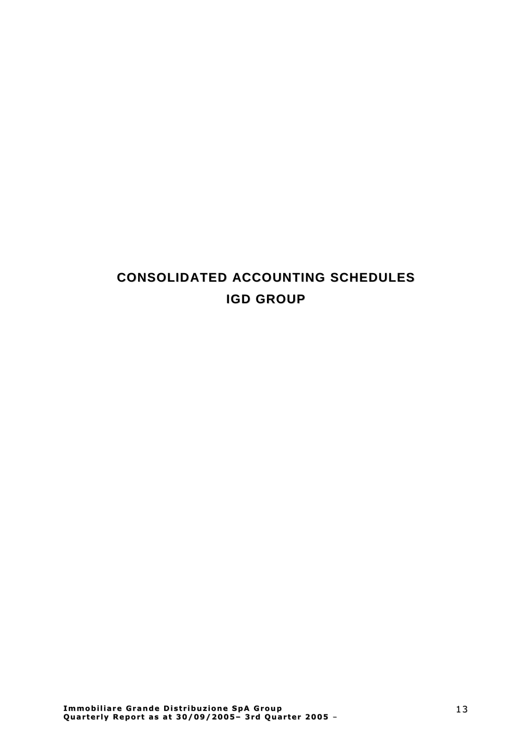# **CONSOLIDATED ACCOUNTING SCHEDULES IGD GROUP**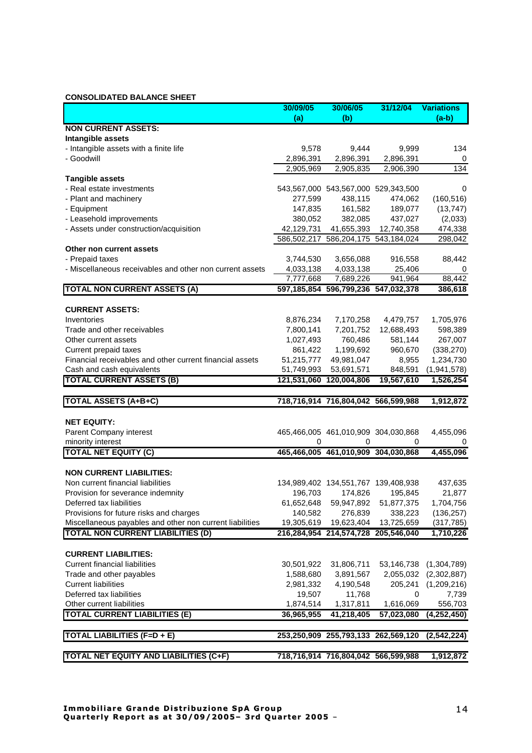### **CONSOLIDATED BALANCE SHEET**

|                                                          | 30/09/05   | 30/06/05                            | 31/12/04   | <b>Variations</b>      |
|----------------------------------------------------------|------------|-------------------------------------|------------|------------------------|
|                                                          | (a)        | (b)                                 |            | $(a-b)$                |
| <b>NON CURRENT ASSETS:</b>                               |            |                                     |            |                        |
| Intangible assets                                        |            |                                     |            |                        |
| - Intangible assets with a finite life                   | 9,578      | 9,444                               | 9,999      | 134                    |
| - Goodwill                                               | 2,896,391  | 2,896,391                           | 2,896,391  | 0                      |
|                                                          | 2,905,969  | 2,905,835                           | 2,906,390  | 134                    |
| <b>Tangible assets</b>                                   |            |                                     |            |                        |
| - Real estate investments                                |            | 543,567,000 543,567,000 529,343,500 |            | 0                      |
| - Plant and machinery                                    | 277,599    | 438,115                             | 474,062    | (160, 516)             |
| - Equipment                                              | 147,835    | 161,582                             | 189,077    | (13, 747)              |
| - Leasehold improvements                                 | 380,052    | 382,085                             | 437,027    | (2,033)                |
| - Assets under construction/acquisition                  | 42,129,731 | 41,655,393                          | 12,740,358 | 474,338                |
|                                                          |            | 586,502,217 586,204,175 543,184,024 |            | 298,042                |
| Other non current assets                                 |            |                                     |            |                        |
| - Prepaid taxes                                          | 3,744,530  | 3,656,088                           | 916,558    | 88,442                 |
| - Miscellaneous receivables and other non current assets | 4,033,138  | 4,033,138                           | 25,406     | 0                      |
|                                                          | 7,777,668  | 7,689,226                           | 941,964    | 88,442                 |
| <b>TOTAL NON CURRENT ASSETS (A)</b>                      |            | 597,185,854 596,799,236 547,032,378 |            | 386,618                |
|                                                          |            |                                     |            |                        |
| <b>CURRENT ASSETS:</b>                                   |            |                                     |            |                        |
| Inventories                                              | 8,876,234  | 7,170,258                           | 4,479,757  | 1,705,976              |
| Trade and other receivables                              | 7,800,141  | 7,201,752                           | 12,688,493 | 598,389                |
| Other current assets                                     | 1,027,493  | 760,486                             | 581,144    | 267,007                |
| Current prepaid taxes                                    | 861,422    | 1,199,692                           | 960,670    | (338, 270)             |
| Financial receivables and other current financial assets | 51,215,777 | 49,981,047                          | 8,955      | 1,234,730              |
| Cash and cash equivalents                                | 51,749,993 | 53,691,571                          | 848,591    | (1,941,578)            |
| <b>TOTAL CURRENT ASSETS (B)</b>                          |            | 121,531,060 120,004,806             | 19,567,610 | 1,526,254              |
| <b>TOTAL ASSETS (A+B+C)</b>                              |            | 718,716,914 716,804,042 566,599,988 |            | 1,912,872              |
|                                                          |            |                                     |            |                        |
| <b>NET EQUITY:</b>                                       |            |                                     |            |                        |
|                                                          |            | 465,466,005 461,010,909 304,030,868 |            |                        |
| Parent Company interest<br>minority interest             | 0          | 0                                   | 0          | 4,455,096              |
| <b>TOTAL NET EQUITY (C)</b>                              |            | 465,466,005 461,010,909 304,030,868 |            | 0<br>4,455,096         |
|                                                          |            |                                     |            |                        |
| <b>NON CURRENT LIABILITIES:</b>                          |            |                                     |            |                        |
| Non current financial liabilities                        |            | 134,989,402 134,551,767 139,408,938 |            | 437,635                |
| Provision for severance indemnity                        | 196,703    | 174,826                             | 195,845    | 21,877                 |
| Deferred tax liabilities                                 |            | 61,652,648 59,947,892 51,877,375    |            | 1,704,756              |
| Provisions for future risks and charges                  | 140,582    | 276,839                             | 338,223    | (136, 257)             |
| Miscellaneous payables and other non current liabilities |            | 19,305,619  19,623,404  13,725,659  |            | (317, 785)             |
| <b>TOTAL NON CURRENT LIABILITIES (D)</b>                 |            | 216,284,954 214,574,728 205,546,040 |            | 1,710,226              |
|                                                          |            |                                     |            |                        |
| <b>CURRENT LIABILITIES:</b>                              |            |                                     |            |                        |
| <b>Current financial liabilities</b>                     | 30,501,922 | 31,806,711                          |            | 53,146,738 (1,304,789) |
| Trade and other payables                                 | 1,588,680  | 3,891,567                           |            | 2,055,032 (2,302,887)  |
| <b>Current liabilities</b>                               | 2,981,332  | 4,190,548                           | 205,241    | (1,209,216)            |
| Deferred tax liabilities                                 | 19,507     | 11,768                              | 0          | 7,739                  |
| Other current liabilities                                | 1,874,514  | 1,317,811                           | 1,616,069  | 556,703                |
| <b>TOTAL CURRENT LIABILITIES (E)</b>                     | 36,965,955 | 41,218,405                          | 57,023,080 | (4,252,450)            |
|                                                          |            |                                     |            |                        |
| <b>TOTAL LIABILITIES (F=D + E)</b>                       |            | 253,250,909 255,793,133 262,569,120 |            | (2, 542, 224)          |
|                                                          |            |                                     |            |                        |
| <b>TOTAL NET EQUITY AND LIABILITIES (C+F)</b>            |            | 718,716,914 716,804,042 566,599,988 |            | 1,912,872              |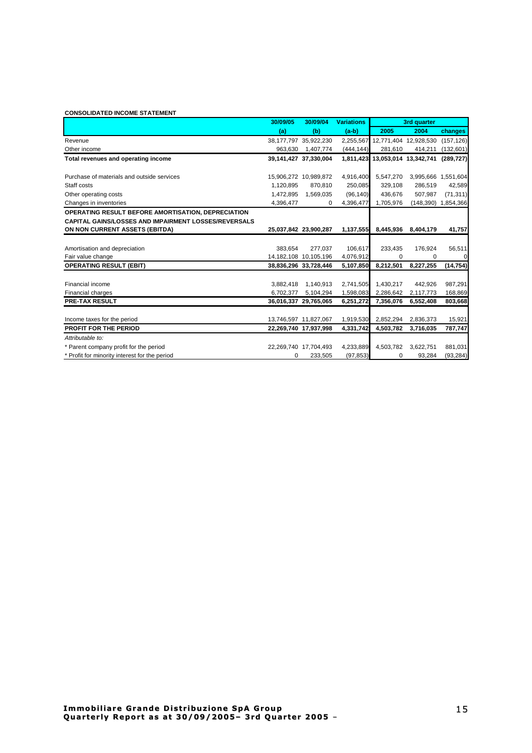#### **CONSOLIDATED INCOME STATEMENT**

|                                                             | 30/09/05  | 30/09/04                  | <b>Variations</b> | 3rd quarter                     |                     |             |
|-------------------------------------------------------------|-----------|---------------------------|-------------------|---------------------------------|---------------------|-------------|
|                                                             | (a)       | (b)                       | $(a-b)$           | 2005                            | 2004                | changes     |
| Revenue                                                     |           | 38,177,797 35,922,230     |                   | 2,255,567 12,771,404 12,928,530 |                     | (157, 126)  |
| Other income                                                | 963,630   | 1,407,774                 | (444, 144)        | 281,610                         | 414,211             | (132, 601)  |
| Total revenues and operating income                         |           | 39,141,427 37,330,004     |                   | 1,811,423 13,053,014 13,342,741 |                     | (289, 727)  |
| Purchase of materials and outside services                  |           | 15,906,272 10,989,872     | 4,916,400         | 5,547,270                       | 3,995,666 1,551,604 |             |
| Staff costs                                                 | 1,120,895 | 870,810                   | 250,085           | 329,108                         | 286.519             | 42,589      |
| Other operating costs                                       | 1,472,895 | 1,569,035                 | (96, 140)         | 436,676                         | 507,987             | (71, 311)   |
| Changes in inventories                                      | 4,396,477 | 0                         | 4,396,477         | 1,705,976                       | (148, 390)          | 1,854,366   |
| OPERATING RESULT BEFORE AMORTISATION, DEPRECIATION          |           |                           |                   |                                 |                     |             |
| <b>CAPITAL GAINS/LOSSES AND IMPAIRMENT LOSSES/REVERSALS</b> |           |                           |                   |                                 |                     |             |
| ON NON CURRENT ASSETS (EBITDA)                              |           | 25,037,842 23,900,287     | 1,137,555         | 8,445,936                       | 8,404,179           | 41,757      |
|                                                             |           |                           |                   |                                 |                     |             |
| Amortisation and depreciation                               | 383.654   | 277.037                   | 106,617           | 233,435                         | 176,924             | 56,511      |
| Fair value change                                           |           | 14, 182, 108 10, 105, 196 | 4,076,912         | 0                               | $\Omega$            | $\mathbf 0$ |
| <b>OPERATING RESULT (EBIT)</b>                              |           | 38,836,296 33,728,446     | 5,107,850         | 8,212,501                       | 8,227,255           | (14, 754)   |
|                                                             |           |                           |                   |                                 |                     |             |
| Financial income                                            | 3,882,418 | 1,140,913                 | 2,741,505         | 1,430,217                       | 442.926             | 987,291     |
| Financial charges                                           | 6,702,377 | 5,104,294                 | 1,598,083         | 2,286,642                       | 2,117,773           | 168,869     |
| PRE-TAX RESULT                                              |           | 36,016,337 29,765,065     | 6,251,272         | 7,356,076                       | 6,552,408           | 803,668     |
|                                                             |           |                           |                   |                                 |                     |             |
| Income taxes for the period                                 |           | 13,746,597 11,827,067     | 1,919,530         | 2,852,294                       | 2,836,373           | 15,921      |
| <b>PROFIT FOR THE PERIOD</b>                                |           | 22,269,740 17,937,998     | 4,331,742         | 4,503,782                       | 3,716,035           | 787,747     |
| Attributable to:                                            |           |                           |                   |                                 |                     |             |
| * Parent company profit for the period                      |           | 22,269,740 17,704,493     | 4,233,889         | 4,503,782                       | 3,622,751           | 881,031     |
| * Profit for minority interest for the period               | 0         | 233,505                   | (97, 853)         | 0                               | 93,284              | (93, 284)   |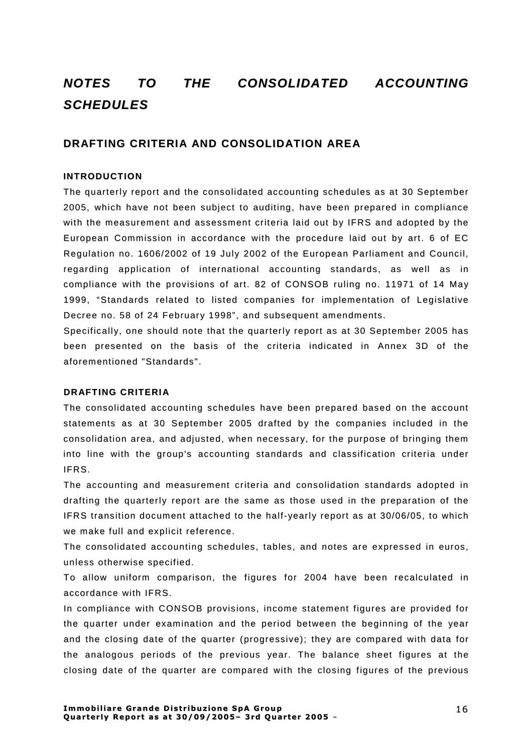# **NOTES TO THE CONSOLIDATED ACCOUNTING SCHEDULES**

## **DRAFTING CRITERIA AND CONSOLIDATION AREA**

### **INTRODUCTION**

The quarterly report and the consolidated accounting schedules as at 30 September 2005, which have not been subject to auditing, have been prepared in compliance with the measurement and assessment criteria laid out by IFRS and adopted by the European Commission in accordance with the procedure laid out by art. 6 of EC Regulation no. 1606/2002 of 19 July 2002 of the European Parliament and Council, regarding application of international accounting standards, as well as in compliance with the provisions of art. 82 of CONSOB ruling no. 11971 of 14 May 1999, "Standards related to listed companies for implementation of Legislative Decree no. 58 of 24 February 1998", and subsequent amendments.

Specifically, one should note that the quarterly report as at 30 September 2005 has been presented on the basis of the criteria indicated in Annex 3D of the aforementioned "Standards".

### **DRAFTING CRITERI A**

The consolidated accounting schedules have been prepared based on the account statements as at 30 September 2005 drafted by the companies included in the consolidation area, and adjusted, when necessary, for the purpose of bringing them into line with the group's accounting standards and classification criteria under IFRS.

The accounting and measurement criteria and consolidation standards adopted in drafting the quarterly report are the same as those used in the preparation of the IFRS transition document attached to the half-vearly report as at 30/06/05, to which we make full and explicit reference.

The consolidated accounting schedules, tables, and notes are expressed in euros, unless otherwise specified.

To allow uniform comparison, the figures for 2004 have been recalculated in accordance with IFRS.

In compliance with CONSOB provisions, income statement figures are provided for the quarter under examination and the period between the beginning of the year and the closing date of the quarter (progressive); they are compared with data for the analogous periods of the previous year. The balance sheet figures at the closing date of the quarter are compared with the closing figures of the previous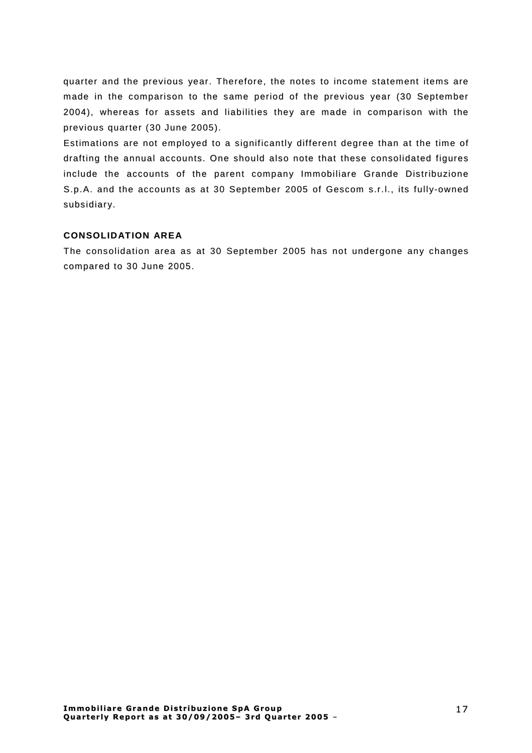quarter and the previous year. Therefore, the notes to income statement items are made in the comparison to the same period of the previous year (30 September 2004), whereas for assets and liabilities they are made in comparison with the previous quarter (30 June 2005).

Estimations are not employed to a significantly different degree than at the time of drafting the annual accounts. One should also note that these consolidated figures include the accounts of the parent company Immobiliare Grande Distribuzione S.p.A. and the accounts as at 30 September 2005 of Gescom s.r.l., its fully-owned subsidiary.

## **CONSOLIDATION AREA**

The consolidation area as at 30 September 2005 has not undergone any changes compared to 30 June 2005.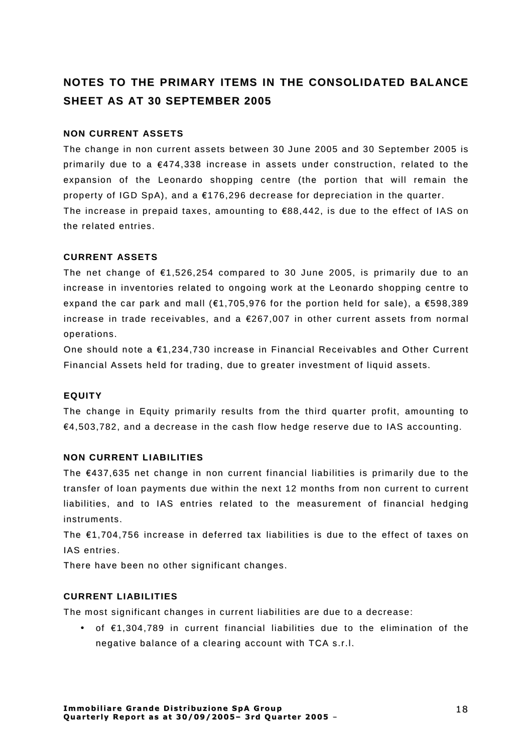# **NOTES TO THE PRIMARY ITEMS IN THE CONSOLIDATED BALANCE SHEET AS AT 30 SEPTEMBER 2005**

## **NON CURRENT ASSETS**

The change in non current assets between 30 June 2005 and 30 September 2005 is primarily due to a  $\epsilon$ 474, 338 increase in assets under construction, related to the expansion of the Leonardo shopping centre (the portion that will remain the property of IGD SpA), and a  $£176,296$  decrease for depreciation in the quarter. The increase in prepaid taxes, amounting to  $\epsilon$ 88,442, is due to the effect of IAS on the related entries.

## **CURRENT ASSETS**

The net change of  $\epsilon$ 1,526,254 compared to 30 June 2005, is primarily due to an increase in inventories related to ongoing work at the Leonardo shopping centre to expand the car park and mall ( $€1,705,976$  for the portion held for sale), a  $€598,389$ increase in trade receivables, and a  $E267,007$  in other current assets from normal operations.

One should note a  $£1,234,730$  increase in Financial Receivables and Other Current Financial Assets held for trading, due to greater investment of liquid assets.

### **EQUITY**

The change in Equity primarily results from the third quarter profit, amounting to  $€4,503,782$ , and a decrease in the cash flow hedge reserve due to IAS accounting.

## **NON CURRENT LI ABILITIES**

The  $£437,635$  net change in non current financial liabilities is primarily due to the transfer of loan payments due within the next 12 months from non current to current liabilities, and to IAS entries related to the measurement of financial hedging instruments.

The  $£1.704.756$  increase in deferred tax liabilities is due to the effect of taxes on IAS entries.

There have been no other significant changes.

## **CURRENT LI ABILITIES**

The most significant changes in current liabilities are due to a decrease:

• of  $£1,304,789$  in current financial liabilities due to the elimination of the negative balance of a clearing account with TCA s.r.l.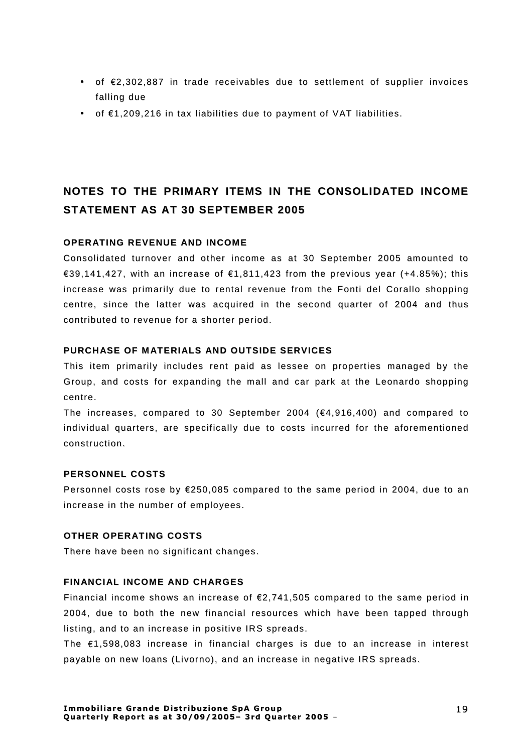- of €2,302,887 in trade receivables due to settlement of supplier invoices falling due
- of €1,209,216 in tax liabilities due to payment of VAT liabilities.

# NOTES TO THE PRIMARY ITEMS IN THE CONSOLIDATED INCOME **STATEMENT AS AT 30 SEPTEMBER 2005**

## **OPERATING REVENUE AND INCOME**

Consolidated turnover and other income as at 30 September 2005 amounted to €39,141,427, with an increase of €1,811,423 from the previous year (+4.85%); this increase was primarily due to rental revenue from the Fonti del Corallo shopping centre, since the latter was acquired in the second quarter of 2004 and thus contributed to revenue for a shorter period.

## PURCHASE OF MATERIALS AND OUTSIDE SERVICES

This item primarily includes rent paid as lessee on properties managed by the Group, and costs for expanding the mall and car park at the Leonardo shopping centre.

The increases, compared to 30 September 2004 ( $€4,916,400$ ) and compared to individual quarters, are specifically due to costs incurred for the aforementioned construction.

### **PERSONNEL COSTS**

Personnel costs rose by  $E250.085$  compared to the same period in 2004, due to an increase in the number of employees.

## OTHER OPERATING COSTS

There have been no significant changes.

### **FINANCIAL INCOME AND CHARGES**

Financial income shows an increase of  $\epsilon$ 2,741,505 compared to the same period in 2004, due to both the new financial resources which have been tapped through listing, and to an increase in positive IRS spreads.

The  $\epsilon$ 1,598,083 increase in financial charges is due to an increase in interest payable on new loans (Livorno), and an increase in negative IRS spreads.